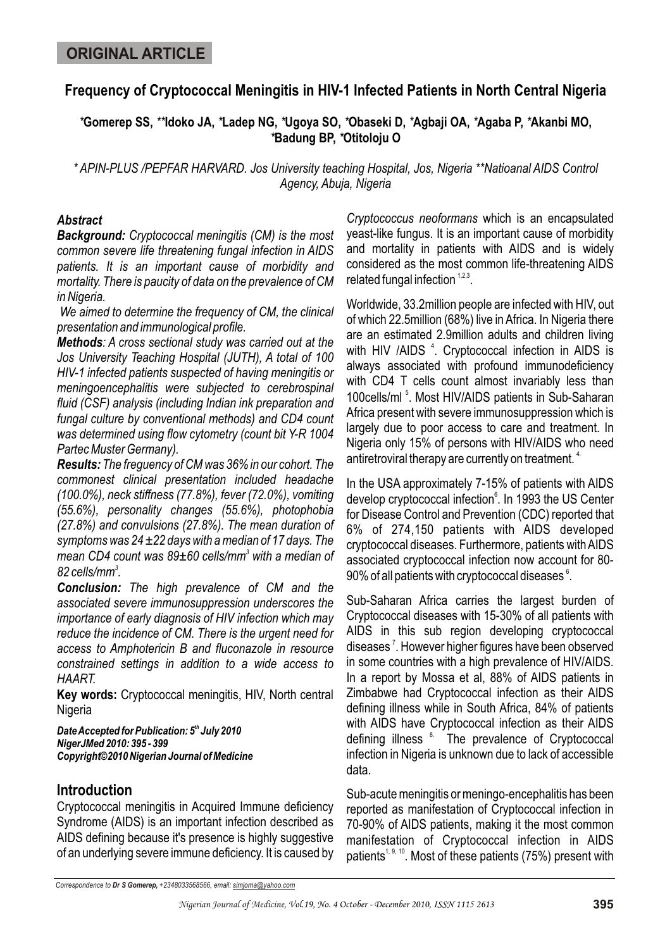# **Frequency of Cryptococcal Meningitis in HIV-1 Infected Patients in North Central Nigeria**

*\****Gomerep SS,** *\*\****Idoko JA,** *\****Ladep NG,** *\****Ugoya SO,** *\****Obaseki D,** *\****Agbaji OA,** *\****Agaba P,** *\****Akanbi MO,**  *\****Badung BP,** *\****Otitoloju O**

*\* APIN-PLUS /PEPFAR HARVARD. Jos University teaching Hospital, Jos, Nigeria \*\*Natioanal AIDS Control Agency, Abuja, Nigeria*

#### *Abstract*

*Background: Cryptococcal meningitis (CM) is the most common severe life threatening fungal infection in AIDS patients. It is an important cause of morbidity and mortality. There is paucity of data on the prevalence of CM in Nigeria.*

 *We aimed to determine the frequency of CM, the clinical presentation and immunological profile.*

*Methods: A cross sectional study was carried out at the Jos University Teaching Hospital (JUTH), A total of 100 HIV-1 infected patients suspected of having meningitis or meningoencephalitis were subjected to cerebrospinal fluid (CSF) analysis (including Indian ink preparation and fungal culture by conventional methods) and CD4 count was determined using flow cytometry (count bit Y-R 1004 Partec Muster Germany).*

*Results:The freguency of CM was 36% in our cohort. The commonest clinical presentation included headache (100.0%), neck stiffness (77.8%), fever (72.0%), vomiting (55.6%), personality changes (55.6%), photophobia (27.8%) and convulsions (27.8%). The mean duration of symptoms was 24 ±22 days with a median of 17 days. The mean CD4 count was 89±60 cells/mm<sup>3</sup> with a median of 3 82 cells/mm .*

*Conclusion: The high prevalence of CM and the associated severe immunosuppression underscores the importance of early diagnosis of HIV infection which may reduce the incidence of CM. There is the urgent need for access to Amphotericin B and fluconazole in resource constrained settings in addition to a wide access to HAART.*

**Key words:** Cryptococcal meningitis, HIV, North central **Nigeria** 

**Date Accepted for Publication: 5<sup>th</sup> July 2010** *NigerJMed 2010: 395 - 399 Copyright©2010 Nigerian Journal of Medicine*

# **Introduction**

Cryptococcal meningitis in Acquired Immune deficiency Syndrome (AIDS) is an important infection described as AIDS defining because it's presence is highly suggestive of an underlying severe immune deficiency. It is caused by

*Cryptococcus neoformans* which is an encapsulated yeast-like fungus. It is an important cause of morbidity and mortality in patients with AIDS and is widely considered as the most common life-threatening AIDS related fungal infection  $1,2,3$ .

Worldwide, 33.2million people are infected with HIV, out of which 22.5million (68%) live in Africa. In Nigeria there are an estimated 2.9million adults and children living with HIV /AIDS<sup>4</sup>. Cryptococcal infection in AIDS is always associated with profound immunodeficiency with CD4 T cells count almost invariably less than 100cells/ml<sup>5</sup>. Most HIV/AIDS patients in Sub-Saharan Africa present with severe immunosuppression which is largely due to poor access to care and treatment. In Nigeria only 15% of persons with HIV/AIDS who need antiretroviral therapy are currently on treatment.  $4$ 

In the USA approximately 7-15% of patients with AIDS develop cryptococcal infection<sup>6</sup>. In 1993 the US Center for Disease Control and Prevention (CDC) reported that 6% of 274,150 patients with AIDS developed cryptococcal diseases. Furthermore, patients with AIDS associated cryptococcal infection now account for 80- 90% of all patients with cryptococcal diseases  $^\circ$ .

Sub-Saharan Africa carries the largest burden of Cryptococcal diseases with 15-30% of all patients with AIDS in this sub region developing cryptococcal diseases<sup>7</sup>. However higher figures have been observed in some countries with a high prevalence of HIV/AIDS. In a report by Mossa et al, 88% of AIDS patients in Zimbabwe had Cryptococcal infection as their AIDS defining illness while in South Africa, 84% of patients with AIDS have Cryptococcal infection as their AIDS defining illness <sup>8</sup>. The prevalence of Cryptococcal infection in Nigeria is unknown due to lack of accessible data.

Sub-acute meningitis or meningo-encephalitis has been reported as manifestation of Cryptococcal infection in 70-90% of AIDS patients, making it the most common manifestation of Cryptococcal infection in AIDS patients<sup> $1, 9, 10$ </sup>. Most of these patients (75%) present with

*Correspondence to Dr S Gomerep, +2348033568566, email: simjoma@yahoo.com*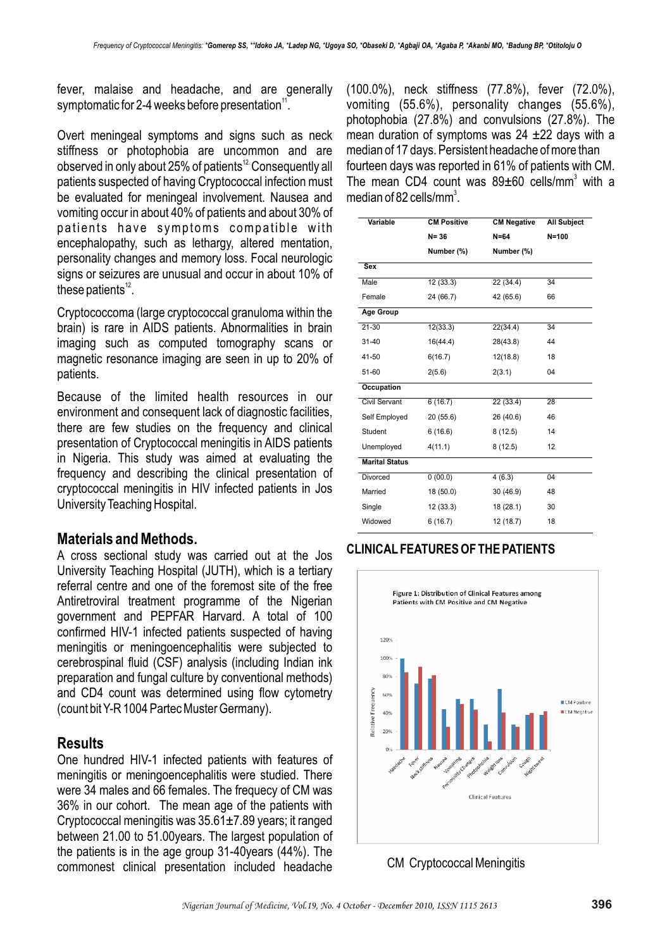fever, malaise and headache, and are generally symptomatic for 2-4 weeks before presentation $\mathrm{^{11}}$ .

Overt meningeal symptoms and signs such as neck stiffness or photophobia are uncommon and are observed in only about 25% of patients<sup>12</sup> Consequently all patients suspected of having Cryptococcal infection must be evaluated for meningeal involvement. Nausea and vomiting occur in about 40% of patients and about 30% of patients have symptoms compatible with encephalopathy, such as lethargy, altered mentation, personality changes and memory loss. Focal neurologic signs or seizures are unusual and occur in about 10% of these patients $12$ .

Cryptococcoma (large cryptococcal granuloma within the brain) is rare in AIDS patients. Abnormalities in brain imaging such as computed tomography scans or magnetic resonance imaging are seen in up to 20% of patients.

Because of the limited health resources in our environment and consequent lack of diagnostic facilities, there are few studies on the frequency and clinical presentation of Cryptococcal meningitis in AIDS patients in Nigeria. This study was aimed at evaluating the frequency and describing the clinical presentation of cryptococcal meningitis in HIV infected patients in Jos University Teaching Hospital.

#### **Materials and Methods.**

A cross sectional study was carried out at the Jos University Teaching Hospital (JUTH), which is a tertiary referral centre and one of the foremost site of the free Antiretroviral treatment programme of the Nigerian government and PEPFAR Harvard. A total of 100 confirmed HIV-1 infected patients suspected of having meningitis or meningoencephalitis were subjected to cerebrospinal fluid (CSF) analysis (including Indian ink preparation and fungal culture by conventional methods) and CD4 count was determined using flow cytometry (count bit Y-R 1004 Partec Muster Germany).

# **Results**

One hundred HIV-1 infected patients with features of meningitis or meningoencephalitis were studied. There were 34 males and 66 females. The frequecy of CM was 36% in our cohort. The mean age of the patients with Cryptococcal meningitis was 35.61±7.89 years; it ranged between 21.00 to 51.00years. The largest population of the patients is in the age group 31-40years (44%). The commonest clinical presentation included headache

(100.0%), neck stiffness (77.8%), fever (72.0%), vomiting (55.6%), personality changes (55.6%), photophobia (27.8%) and convulsions (27.8%). The mean duration of symptoms was 24 ±22 days with a median of 17 days. Persistent headache of more than fourteen days was reported in 61% of patients with CM. The mean CD4 count was  $89\pm60$  cells/mm<sup>3</sup> with a median of 82 cells/mm<sup>3</sup>.

| Variable              | <b>CM Positive</b> | <b>CM Negative</b> | <b>All Subject</b> |
|-----------------------|--------------------|--------------------|--------------------|
|                       | $N = 36$           | $N=64$             | $N = 100$          |
|                       | Number (%)         | Number (%)         |                    |
| <b>Sex</b>            |                    |                    |                    |
| Male                  | 12(33.3)           | 22(34.4)           | 34                 |
| Female                | 24 (66.7)          | 42 (65.6)          | 66                 |
| Age Group             |                    |                    |                    |
| $21 - 30$             | 12(33.3)           | 22(34.4)           | 34                 |
| $31 - 40$             | 16(44.4)           | 28(43.8)           | 44                 |
| 41-50                 | 6(16.7)            | 12(18.8)           | 18                 |
| 51-60                 | 2(5.6)             | 2(3.1)             | 04                 |
| Occupation            |                    |                    |                    |
| Civil Servant         | 6(16.7)            | 22 (33.4)          | 28                 |
| Self Employed         | 20(55.6)           | 26 (40.6)          | 46                 |
| Student               | 6(16.6)            | 8(12.5)            | 14                 |
| Unemployed            | 4(11.1)            | 8(12.5)            | 12                 |
| <b>Marital Status</b> |                    |                    |                    |
| <b>Divorced</b>       | 0(00.0)            | 4(6.3)             | 04                 |
| Married               | 18 (50.0)          | 30 (46.9)          | 48                 |
| Single                | 12(33.3)           | 18 (28.1)          | 30                 |
| Widowed               | 6(16.7)            | 12 (18.7)          | 18                 |
|                       |                    |                    |                    |

# **CLINICAL FEATURES OF THE PATIENTS**



CM Cryptococcal Meningitis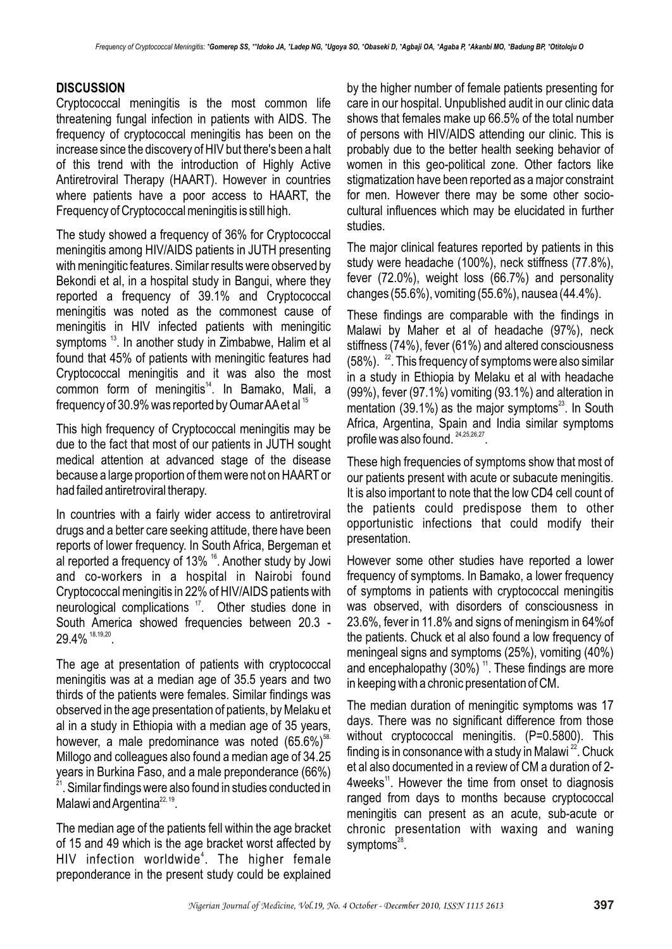#### **DISCUSSION**

Cryptococcal meningitis is the most common life threatening fungal infection in patients with AIDS. The frequency of cryptococcal meningitis has been on the increase since the discovery of HIV but there's been a halt of this trend with the introduction of Highly Active Antiretroviral Therapy (HAART). However in countries where patients have a poor access to HAART, the Frequency of Cryptococcal meningitis is still high.

The study showed a frequency of 36% for Cryptococcal meningitis among HIV/AIDS patients in JUTH presenting with meningitic features. Similar results were observed by Bekondi et al, in a hospital study in Bangui, where they reported a frequency of 39.1% and Cryptococcal meningitis was noted as the commonest cause of meningitis in HIV infected patients with meningitic symptoms<sup>13</sup>. In another study in Zimbabwe, Halim et al found that 45% of patients with meningitic features had Cryptococcal meningitis and it was also the most  $common$  form of meningitis $<sup>14</sup>$ . In Bamako, Mali, a</sup> frequency of 30.9% was reported by Oumar AA et al  $^{15}$ 

This high frequency of Cryptococcal meningitis may be due to the fact that most of our patients in JUTH sought medical attention at advanced stage of the disease because a large proportion of them were not on HAART or had failed antiretroviral therapy.

In countries with a fairly wider access to antiretroviral drugs and a better care seeking attitude, there have been reports of lower frequency. In South Africa, Bergeman et al reported a frequency of 13%  $^{16}$ . Another study by Jowi and co-workers in a hospital in Nairobi found Cryptococcal meningitis in 22% of HIV/AIDS patients with neurological complications <sup>17</sup>. Other studies done in South America showed frequencies between 20.3 - 29.4%  $18,19,20$ 

The age at presentation of patients with cryptococcal meningitis was at a median age of 35.5 years and two thirds of the patients were females. Similar findings was observed in the age presentation of patients, by Melaku et al in a study in Ethiopia with a median age of 35 years, however, a male predominance was noted  $(65.6\%)$ <sup>58.</sup> Millogo and colleagues also found a median age of 34.25 years in Burkina Faso, and a male preponderance (66%) <sup>21</sup>. Similar findings were also found in studies conducted in Malawi and Argentina<sup>22, 19</sup>.

The median age of the patients fell within the age bracket of 15 and 49 which is the age bracket worst affected by HIV infection worldwide<sup>4</sup>. The higher female preponderance in the present study could be explained

by the higher number of female patients presenting for care in our hospital. Unpublished audit in our clinic data shows that females make up 66.5% of the total number of persons with HIV/AIDS attending our clinic. This is probably due to the better health seeking behavior of women in this geo-political zone. Other factors like stigmatization have been reported as a major constraint for men. However there may be some other sociocultural influences which may be elucidated in further studies.

The major clinical features reported by patients in this study were headache (100%), neck stiffness (77.8%), fever (72.0%), weight loss (66.7%) and personality changes (55.6%), vomiting (55.6%), nausea (44.4%).

These findings are comparable with the findings in Malawi by Maher et al of headache (97%), neck stiffness (74%), fever (61%) and altered consciousness  $(58%)$ .  $^{22}$ . This frequency of symptoms were also similar in a study in Ethiopia by Melaku et al with headache (99%), fever (97.1%) vomiting (93.1%) and alteration in mentation (39.1%) as the major symptoms $^{23}$ . In South Africa, Argentina, Spain and India similar symptoms profile was also found.  $24,25,26,27$ .

These high frequencies of symptoms show that most of our patients present with acute or subacute meningitis. It is also important to note that the low CD4 cell count of the patients could predispose them to other opportunistic infections that could modify their presentation.

However some other studies have reported a lower frequency of symptoms. In Bamako, a lower frequency of symptoms in patients with cryptococcal meningitis was observed, with disorders of consciousness in 23.6%, fever in 11.8% and signs of meningism in 64%of the patients. Chuck et al also found a low frequency of meningeal signs and symptoms (25%), vomiting (40%) and encephalopathy (30%)  $<sup>11</sup>$ . These findings are more</sup> in keeping with a chronic presentation of CM.

The median duration of meningitic symptoms was 17 days. There was no significant difference from those without cryptococcal meningitis. (P=0.5800). This finding is in consonance with a study in Malawi  $^{22}$ . Chuck et al also documented in a review of CM a duration of 2- 4weeks<sup> $11$ </sup>. However the time from onset to diagnosis ranged from days to months because cryptococcal meningitis can present as an acute, sub-acute or chronic presentation with waxing and waning symptoms $28$ .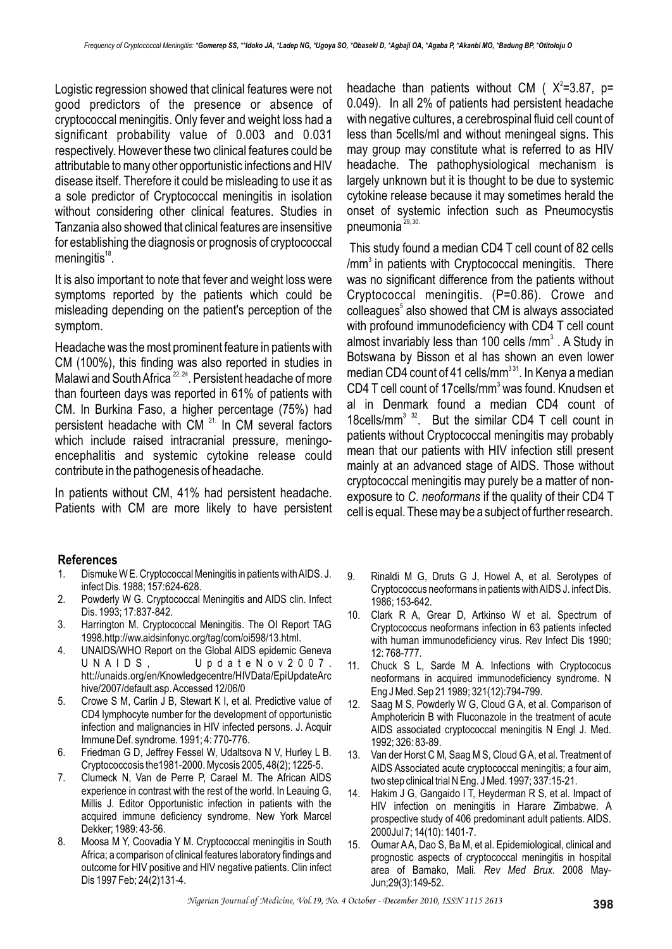Logistic regression showed that clinical features were not good predictors of the presence or absence of cryptococcal meningitis. Only fever and weight loss had a significant probability value of 0.003 and 0.031 respectively. However these two clinical features could be attributable to many other opportunistic infections and HIV disease itself. Therefore it could be misleading to use it as a sole predictor of Cryptococcal meningitis in isolation without considering other clinical features. Studies in Tanzania also showed that clinical features are insensitive for establishing the diagnosis or prognosis of cryptococcal  $meningitis<sup>18</sup>$ .

It is also important to note that fever and weight loss were symptoms reported by the patients which could be misleading depending on the patient's perception of the symptom.

Headache was the most prominent feature in patients with CM (100%), this finding was also reported in studies in Malawi and South Africa <sup>22, 24</sup>. Persistent headache of more than fourteen days was reported in 61% of patients with CM. In Burkina Faso, a higher percentage (75%) had persistent headache with  $CM<sup>21</sup>$  In CM several factors which include raised intracranial pressure, meningoencephalitis and systemic cytokine release could contribute in the pathogenesis of headache.

In patients without CM, 41% had persistent headache. Patients with CM are more likely to have persistent

#### **References**

- 1. Dismuke W E. Cryptococcal Meningitis in patients with AIDS. J. infect Dis. 1988; 157:624-628.
- 2. Powderly W G. Cryptococcal Meningitis and AIDS clin. Infect Dis. 1993; 17:837-842.
- 3. Harrington M. Cryptococcal Meningitis. The OI Report TAG 1998.http://ww.aidsinfonyc.org/tag/com/oi598/13.html.
- 4. UNAIDS/WHO Report on the Global AIDS epidemic Geneva UNAIDS, UpdateNov2007. htt://unaids.org/en/Knowledgecentre/HIVData/EpiUpdateArc hive/2007/default.asp. Accessed 12/06/0
- 5. Crowe S M, Carlin J B, Stewart K I, et al. Predictive value of CD4 lymphocyte number for the development of opportunistic infection and malignancies in HIV infected persons. J. Acquir Immune Def. syndrome. 1991; 4: 770-776.
- 6. Friedman G D, Jeffrey Fessel W, Udaltsova N V, Hurley L B. Cryptococcosis the1981-2000. Mycosis 2005, 48(2); 1225-5.
- 7. Clumeck N, Van de Perre P, Carael M. The African AIDS experience in contrast with the rest of the world. In Leauing G, Millis J. Editor Opportunistic infection in patients with the acquired immune deficiency syndrome. New York Marcel Dekker; 1989: 43-56.
- 8. Moosa M Y, Coovadia Y M. Cryptococcal meningitis in South Africa; a comparison of clinical features laboratory findings and outcome for HIV positive and HIV negative patients. Clin infect Dis 1997 Feb; 24(2)131-4.

headache than patients without CM ( $X^2 = 3.87$ , p= 0.049). In all 2% of patients had persistent headache with negative cultures, a cerebrospinal fluid cell count of less than 5cells/ml and without meningeal signs. This may group may constitute what is referred to as HIV headache. The pathophysiological mechanism is largely unknown but it is thought to be due to systemic cytokine release because it may sometimes herald the onset of systemic infection such as Pneumocystis pneumonia<sup>29, 30.</sup>

This study found a median CD4 T cell count of 82 cells  $\text{/mm}^3$  in patients with Cryptococcal meningitis. There was no significant difference from the patients without Cryptococcal meningitis. (P=0.86). Crowe and colleagues<sup>5</sup> also showed that CM is always associated with profound immunodeficiency with CD4 T cell count almost invariably less than 100 cells /mm $<sup>3</sup>$ . A Study in</sup> Botswana by Bisson et al has shown an even lower median CD4 count of 41 cells/mm<sup>331</sup>. In Kenya a median CD4 T cell count of 17cells/mm<sup>3</sup> was found. Knudsen et al in Denmark found a median CD4 count of 18 cells/mm<sup>3 32</sup>. But the similar CD4 T cell count in patients without Cryptococcal meningitis may probably mean that our patients with HIV infection still present mainly at an advanced stage of AIDS. Those without cryptococcal meningitis may purely be a matter of nonexposure to *C. neoformans* if the quality of their CD4 T cell is equal. These may be a subject of further research.

- 9. Rinaldi M G, Druts G J, Howel A, et al. Serotypes of Cryptococcus neoformans in patients with AIDS J. infect Dis. 1986; 153-642.
- 10. Clark R A, Grear D, Artkinso W et al. Spectrum of Cryptococcus neoformans infection in 63 patients infected with human immunodeficiency virus. Rev Infect Dis 1990; 12: 768-777.
- 11. Chuck S L, Sarde M A. Infections with Cryptococus neoformans in acquired immunodeficiency syndrome. N Eng J Med. Sep 21 1989; 321(12):794-799.
- 12. Saag M S, Powderly W G, Cloud G A, et al. Comparison of Amphotericin B with Fluconazole in the treatment of acute AIDS associated cryptococcal meningitis N Engl J. Med. 1992; 326: 83-89.
- 13. Van der Horst C M, Saag M S, Cloud G A, et al. Treatment of AIDS Associated acute cryptococcal meningitis; a four aim, two step clinical trial N Eng. J Med. 1997; 337:15-21.
- 14. Hakim J G, Gangaido I T, Heyderman R S, et al. Impact of HIV infection on meningitis in Harare Zimbabwe. A prospective study of 406 predominant adult patients. AIDS. 2000Jul 7; 14(10): 1401-7.
- 15. Oumar AA, Dao S, Ba M, et al. Epidemiological, clinical and prognostic aspects of cryptococcal meningitis in hospital area of Bamako, Mali. *Rev Med Brux*. 2008 May-Jun;29(3):149-52.